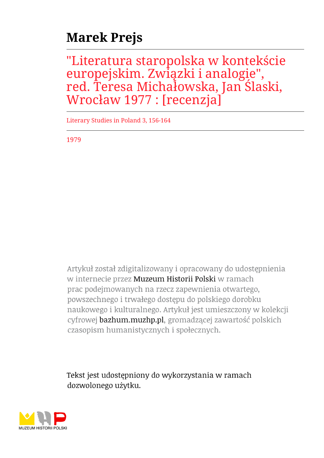## **Marek Prejs**

"Literatura staropolska w kontekście europejskim. Związki i analogie", red. Teresa Michałowska, Jan Ślaski, Wrocław 1977 : [recenzja]

Literary Studies in Poland 3, 156-164

1979

Artykuł został zdigitalizowany i opracowany do udostępnienia w internecie przez Muzeum Historii Polski w ramach prac podejmowanych na rzecz zapewnienia otwartego, powszechnego i trwałego dostępu do polskiego dorobku naukowego i kulturalnego. Artykuł jest umieszczony w kolekcji cyfrowej bazhum.muzhp.pl, gromadzącej zawartość polskich czasopism humanistycznych i społecznych.

Tekst jest udostępniony do wykorzystania w ramach dozwolonego użytku.

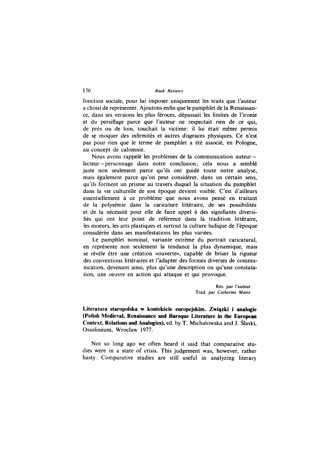fonction sociale, pour lui imposer uniquement les traits que l'auteur a choisi de représenter. Ajoutons enfin que le pamphlet de la Renaissance, dans ses versions les plus féroces, dépassait les limites de l'ironie et du persiflage parce que l'auteur ne respectait rien de ce qui, de près ou de loin, touchait la victime: il lui était même permis de se moquer des infirmités et autres disgraces physiques. Ce n'est pas pour rien que le terme de pamphlet a été associé, en Pologne, au concept de calomnie.

Nous avons rappelé les problèmes de la communication auteurlecteur—personnage dans notre conclusion; cela nous a semblé juste non seulement parce qu'ils ont guidé toute notre analyse, mais également parce qu'on peut considérer, dans un certain sens, qu'ils forment un prisme au travers duquel la situation du pamphlet dans la vie culturelle de son époque devient visible. C'est d'ailleurs essentiellement à ce problème que nous avons pensé en traitant de la polysémie dans la caricature littéraire, de ses possibilités et de la nécessité pour elle de faire appel à des signifiants diversifiés qui ont leur point de référence dans la tradition littéraire, les moeurs, les arts plastiques et surtout la culture ludique de l'époque considérée dans ses manifestations les plus variées.

Le pamphlet nominal, variante extrême du portrait caricatural, en représente non seulement la tendance la plus dynamique, mais se révèle être une création «ouverte», capable de briser la rigueur des conventions littéraires et l'adapter des formes diverses de communication, devenant ainsi, plus qu'une description ou qu'une constatation, une oeuvre en action qui attaque et qui provoque.

> **Rés. par l 'auteur Trad, par** *C atherine M aire*

**Literatura staropolska w kontekście europejskim. Związki i analogie (Polish Medieval, Renaissance and Baroque Literature in the European Context. Relations and Analogies),** ed. by T. Michałowska and **J.** Śląski, Ossolineum, Wrocław 1977.

Not so long ago we often heard it said that comparative studies were in a state of crisis. This judgement was, however, rather hasty. Comparative studies are still useful in analyzing literary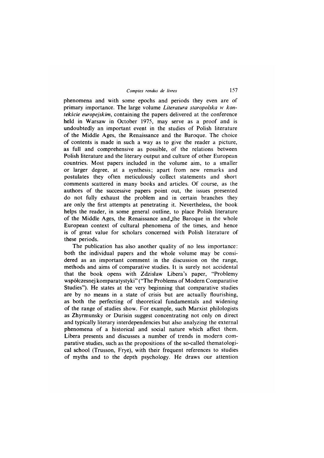phenomena and with some epochs and periods they even are of primary importance. The large volume *Literatura staropolska* w *kontekście europejskim,* containing the papers delivered at the conference held in Warsaw in October 1975, may serve as a proof and is undoubtedly an important event in the studies of Polish literature of the Middle Ages, the Renaissance and the Baroque. The choice of contents is made in such a way as to give the reader a picture, as full and comprehensive as possible, of the relations between Polish literature and the literary output and culture of other European countries. Most papers included in the volume aim, to a smaller or larger degree, at a synthesis; apart from new remarks and postulates they often meticulously collect statements and short comments scattered in many books and articles. Of course, as the authors of the successive papers point out, the issues presented do not fully exhaust the problem and in certain branches they are only the first attempts at penetrating it. Nevertheless, the book helps the reader, in some general outline, to place Polish literature of the Middle Ages, the Renaissance and the Baroque in the whole European context of cultural phenomena of the times, and hence is of great value for scholars concerned with Polish literature of these periods.

The publication has also another quality of no less importance: both the individual papers and the whole volume may be considered as an important comment in the discussion on the range, methods and aims of comparative studies. It is surely not accidental that the book opens with Zdzisław Libera's paper, "Problemy współczesnej komparatystyki" ("The Problems of Modern Comparative Studies"). He states at the very beginning that comparative studies are by no means in a state of crisis but are actually flourishing, as both the perfecting of theoretical fundamentals and widening of the range of studies show. For example, such Marxist philologists as Zhyrmunsky or Durisin suggest concentrating not only on direct and typically literary interdependencies but also analyzing the external phenomena of a historical and social nature which affect them. Libera presents and discusses a number of trends in modern comparative studies, such as the propositions of the so-called thematological school (Trusson, Frye), with their frequent references to studies of myths and to the depth psychology. He draws our attention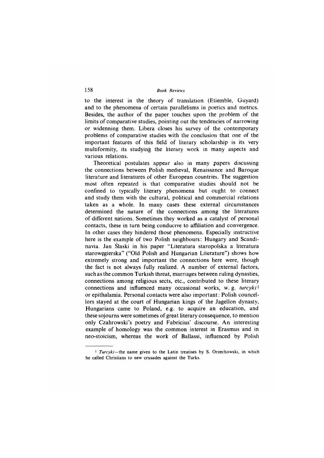to the interest in the theory of translation (Etiemble, Guyard) and to the phenomena of certain parallelisms in poetics and metrics. Besides, the author of the paper touches upon the problem of the limits of comparative studies, pointing out the tendencies of narrowing or widenning them. Libera closes his survey of the contemporary problems of comparative studies with the conclusion that one of the important features of this field of literary scholarship is its very multiformity, its studying the literary work in many aspects and various relations.

Theoretical postulates appear also in many papers discussing the connections between Polish medieval, Renaissance and Baroque literature and literatures of other European countries. The suggestion most often repeated is that comparative studies should not be confined to typically literary phenomena but ought to connect and study them with the cultural, political and commercial relations taken as a whole. In many cases these external circumstances determined the nature of the connections among the literatures of different nations. Sometimes they worked as a catalyst of personal contacts, these in turn being conducive to affiliation and convergence. In other cases they hindered those phenomena. Especially instructive here is the example of two Polish neighbours: Hungary and Scandinavia. Jan Śląski in his paper "Literatura staropolska a literatura starowęgierska" ("Old Polish and Hungarian Literature") shows how extremely strong and important the connections here were, though the fact is not always fully realized. A number of external factors, such as the common Turkish threat, marriages between ruling dynasties, connections among religious sects, etc., contributed to these literary connections and influenced many occasional works, w. g. *turcyki*1 or epithalamia. Personal contacts were also important: Polish councellors stayed at the court of Hungarian kings of the Jagellon dynasty, Hungarians came to Poland, e.g. to acquire an education, and these sojourns were sometimes of gręat literary consequence, to mention only Czahrowski's poetry and Fabricius' discourse. An interesting example of homology was the common interest in Erasmus and in neo-stoicism, whereas the work of Ballassi, influenced by Polish

<sup>&</sup>lt;sup>1</sup> *Turcyki* – the name given to the Latin treatises by S. Orzechowski, in which **he called C hristians to new crusades against the Turks.**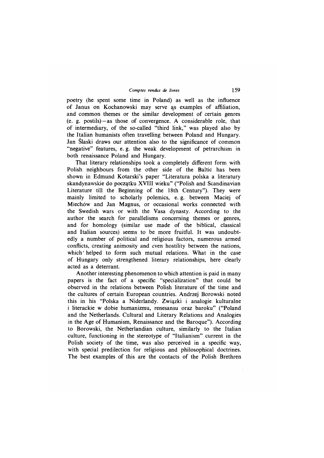poetry (he spent some time in Poland) as well as the influence of Janus on Kochanowski may serve as examples of affiliation, and common themes or the similar development of certain genres (e. g. postils)—as those of convergence. A considerable role, that of intermediary, of the so-called "third link," was played also by the Italian humanists often travelling between Poland and Hungary. Jan Slaski draws our attention also to the significance of common "negative" features, e. g. the weak development of petrarchism in both renaissance Poland and Hungary.

That literary relationships took a completely different form with Polish neighbours from the other side of the Baltic has been shown in Edmund Kotarski's paper "Literatura polska a literatury skandynawskie do początku XVIII wieku" ("Polish and Scandinavian Literature till the Beginning of the 18th Century"). They were mainly limited to scholarly polemics, e. g. between Maciej of Miechów and Jan Magnus, or occasional works connected with the Swedish wars or with the Vasa dynasty. According to the author the search for parallelisms concerning themes or genres, and for homology (similar use made of the biblical, classical and Italian sources) seems to be more fruitful. It was undoubtedly a number of political and religious factors, numerous armed conflicts, creating animosity and even hostility between the nations, which ' helped to form such mutual relations. What in the case of Hungary only strengthened literary relationships, here clearly acted as a deterrant.

Another interesting phenomenon to which attention is paid in many papers is the fact of a specific "specialization" that could be observed in the relations between Polish literature of the time and the cultures of certain European countries. Andrzej Borowski noted this in his "Polska a Niderlandy. Związki i analogie kulturalne i literackie w dobie humanizmu, renesansu oraz baroku" ("Poland and the Netherlands. Cultural and Literary Relations and Analogies in the Age of Humanism, Renaissance and the Baroque"). According to Borowski, the Netherlandian culture, similarly to the Italian culture, functioning in the stereotype of "Italianism" current in the Polish society of the time, was also perceived in a specific way, with special predilection for religious and philosophical doctrines. The best examples of this are the contacts of the Polish Brethren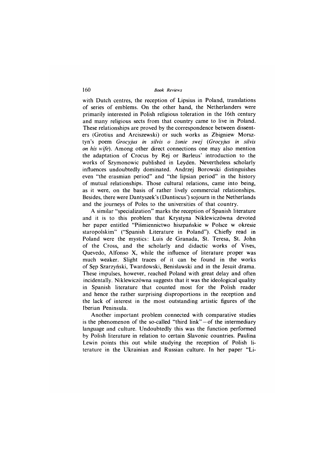with Dutch centres, the reception of Lipsius in Poland, translations of series of emblems. On the other hand, the Netherlanders were primarily interested in Polish religious toleration in the 16th century and many religious sects from that country came to live in Poland. These relationships are proved by the correspondence between dissenters (Grotius and Arciszewski) or such works as Zbigniew Morsztyn's poem *Grocyjus in silvis o żonie swej (Grocyjus in silvis on his wife).* Among other direct connections one may also mention the adaptation of Crocus by Rej or Barleus' introduction to the works of Szymonowic published in Leyden. Nevertheless scholarly influences undoubtedly dominated. Andrzej Borowski distinguishes even "the erasmian period" and "the lipsian period" in the history of mutual relationships. Those cultural relations, came into being, as it were, on the basis of rather lively commercial relationships. Besides, there were Dantyszek's (Dantiscus') sojourn in the Netherlands and the journeys of Poles to the universities of that country.

A similar "specialization" marks the reception of Spanish literature and it is to this problem that Krystyna Niklewiczówna devoted her paper entitled "Piśmiennictwo hiszpańskie w Polsce w okresie staropolskim" ("Spanish Literature in Poland"). Chiefly read in Poland were the mystics: Luis de Granada, St. Teresa, St. John of the Cross, and the scholarly and didactic works of Vives, Quevedo, Alfonso X, while the influence of literature proper was much weaker. Slight traces of it can be found in the works of Sęp Szarzyński, Twardowski, Benisławski and in the Jesuit drama. These impulses, however, reached Poland with great delay and often incidentally. Niklewiczówna suggests that it was the ideological quality in Spanish literature that counted most for the Polish reader and hence the rather surprising disproportions in the reception and the lack of interest in the most outstanding artistic figures of the Iberian Peninsula.

Another important problem connected with comparative studies is the phenomenon of the so-called "third link" $-$  of the intermediary language and culture. Undoubtedly this was the function performed by Polish literature in relation to certain Slavonic countries. Paulina Lewin points this out while studying the reception of Polish literature in the Ukrainian and Russian culture. In her paper "Li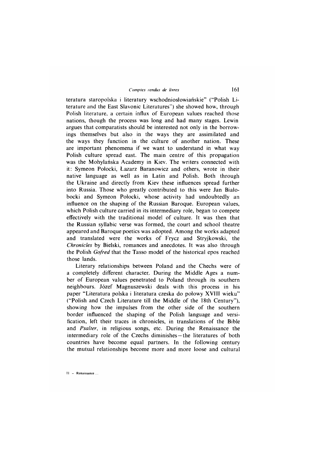teratura staropolska i literatury wschodniosłowiańskie" ("Polish Literature and the East Slavonic Literatures") she showed how, through Polish literature, a certain influx of European values reached those nations, though the process was long and had many stages. Lewin argues that comparatists should be interested not only in the borrowings themselves but also in the ways they are assimilated and the ways they function in the culture of another nation. These are important phenomena if we want to understand in what way Polish culture spread east. The main centre of this propagation was the Mohylańska Academy in Kiev. The writers connected with it: Symeon Połocki, Łazarz Baranowicz and others, wrote in their native language as well as in Latin and Polish. Both through the Ukraine and directly from Kiev these influences spread further into Russia. Those who greatly contributed to this were Jan Bialobocki and Symeon Połocki, whose activity had undoubtedly an influence on the shaping of the Russian Baroque. European values, which Polish culture carried in its intermediary role, began to compete effectively with the traditional model of culture. It was then that the Russian syllabic verse was formed, the court and school theatre appeared and Baroque poetics was adopted. Among the works adapted and translated were the works of Frycz and Stryjkowski, the *Chronicles* by Bielski, romances and anecdotes. It was also through the Polish *Gofred* that the Tasso model of the historical epos reached those lands.

Literary relationships between Poland and the Chechs were of a completely different character. During the Middle Ages a number of European values penetrated to Poland through its southern neighbours. Józef Magnuszewski deals with this process in his paper "Literatura polska i literatura czeska do połowy XVIII wieku" ("Polish and Czech Literature till the Middle of the 18th Century"), showing how the impulses from the other side of the southern border influenced the shaping of the Polish language and versification, left their traces in chronicles, in translations of the Bible and *Psalter*, in religious songs, etc. During the Renaissance the intermediary role of the Czechs diminishes —the literatures of both countries have become equal partners. In the following century the mutual relationships become more and more loose and cultural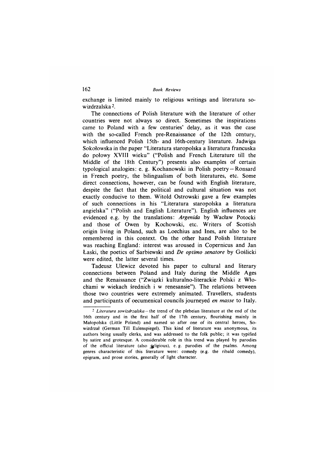exchange is limited mainly to religious writings and literatura sowizdrzalska 2.

The connections of Polish literature with the literature of other countries were not always so direct. Sometimes the inspirations came to Poland with a few centuries' delay, as it was the case with the so-called French pre-Renaissance of the 12th century, which influenced Polish 15th- and 16th-century literature. Jadwiga Sokołowska in the paper "Literatura staropolska a literatura francuska do połowy XVIII wieku" ("Polish and French Literature till the Middle of the 18th Century") presents also examples of certain typological analogies: e. g. Kochanowski in Polish poetry — Ronsard in French poetry, the bilingualism of both literatures, etc. Some direct connections, however, can be found with English literature, despite the fact that the political and cultural situation was not exactly conducive to them. Witold Ostrowski gave a few examples of such connections in his "Literatura staropolska a literatura angielska" ("Polish and English Literature"). English influences are evidenced e.g. by the translations: *Argenida* by Wacław Potocki and those of Owen by Kochowski, etc. Writers of Scottish origin living in Poland, such as Loechius and Ines, are also to be remembered in this context. On the other hand Polish literature was reaching England: interest was aroused in Copernicus and Jan Łaski, the poetics of Sarbiewski and *De optimo senatore* by Goślicki were edited, the latter several times.

Tadeusz Ulewicz devoted his paper to cultural and literary connections between Poland and Italy during the Middle Ages and the Renaissance ("Związki kulturalno-literackie Polski z Włochami w wiekach średnich i w renesansie"). The relations between those two countries were extremely animated. Travellers, students and participants of oecumenical councils journeyed *en masse* to Italy.

<sup>&</sup>lt;sup>2</sup> *Literatura sowizdrzalska* – the trend of the plebeian literature at the end of the 16th century and in the first half of the 17th century, flourishing mainly in Małopolska (Little Poland) and named so after one of its central heroes, Sowizdrzał (German Till Eulenspiegel). This kind of literature was anonymous, its authors being usually clerks, and was addressed to the folk public; it was typified by satire and grotesque. A considerable role in this trend was played by parodies of the official literature (also geligious), e.g. parodies of the psalms. Among genres characteristic of this literature were: comedy (e.g. the ribald comedy), epigram, and prose stories, generally of light character.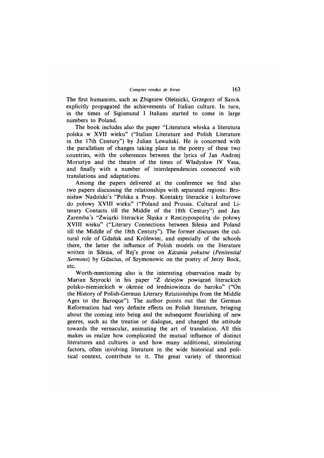The first humanists, such as Zbigniew Oleśnicki, Grzegorz of Sanok explicitly propagated the achievements of Italian culture. In turn, in the times of Sigismund I Italians started to come in large numbers to Poland.

The book includes also the paper "Literatura włoska a literatura polska w XVII wieku" ("Italian Literature and Polish Literature in the 17th Century") by Julian Lewański. He is concerned with the parallelism of changes taking place in the poetry of these two countries, with the coherences between the lyrics of Jan Andrzej Morsztyn and the theatre of the times of Władysław IV Vasa, and finally with a number of interdependencies connected with translations and adaptations.

Among the papers delivered at the conference we find also two papers discussing the relationships with separated regions: Bronisław Nadolski's "Polska a Prusy. Kontakty literackie i kulturowe do połowy XVIII wieku" ("Poland and Prussia. Cultural and Literary Contacts till the Middle of the 18th Century") and Jan Zarem ba's "Związki literackie Śląska z Rzeczypospolitą do połowy XVIII wieku" ("Literary Connections between Silesia and Poland till the Middle of the 18th Century"). The former discusses the cultural role of Gdańsk and Królewiec, and especially of the schools there, the latter the influence of Polish models on the literature written in Silesia, of Rej's prose on *Kazania pokutne (Penitential Sermons)* by Gdacius, of Szymonowie on the poetry of Jerzy Bock, etc.

Worth-mentioning also is the interesting observation made by M arian Szyrocki in his paper "Z dziejów powiązań literackich polsko-niemieckich w okresie od średniowiecza do baroku" ("On the History of Polish-German Literary Relationships from the Middle Ages to the Baroque"). The author points out that the German Reformation had very definite effects on Polish literature, bringing about the coming into being and the subsequent flourishing of new genres, such as the treatise or dialogue, and changed the attitude towards the vernacular, animating the art of translation. All this makes us realize how complicated the mutual influence of distinct literatures and cultures is and how many additional, stimulating factors, often involving literature in the wide historical and political context, contribute to it. The great variety of theoretical